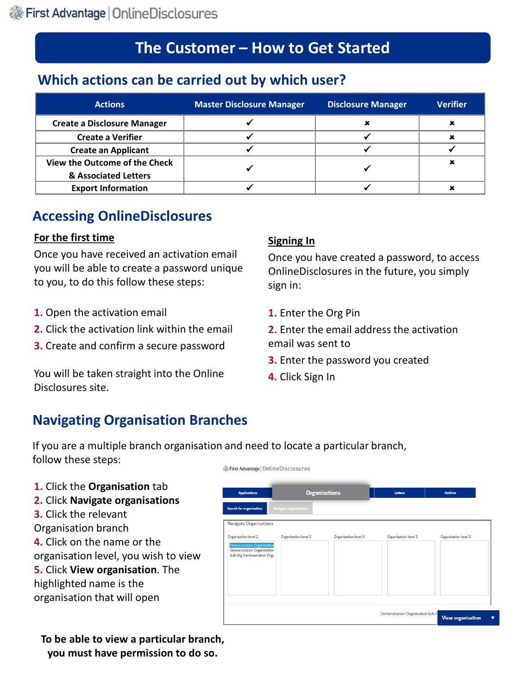# **The Customer – How to Get Started**

### **Which actions can be carried out by which user?**

| <b>Actions</b>                     | <b>Master Disclosure Manager</b> | <b>Disclosure Manager</b> | <b>Verifier</b> |
|------------------------------------|----------------------------------|---------------------------|-----------------|
| <b>Create a Disclosure Manager</b> |                                  |                           |                 |
| <b>Create a Verifier</b>           |                                  |                           |                 |
| <b>Create an Applicant</b>         |                                  |                           |                 |
| View the Outcome of the Check      |                                  |                           |                 |
| & Associated Letters               |                                  |                           |                 |
| <b>Export Information</b>          |                                  |                           |                 |

### **Accessing OnlineDisclosures**

#### **For the first time**

Once you have received an activation email you will be able to create a password unique to you, to do this follow these steps:

- **1.** Open the activation email
- **2.** Click the activation link within the email
- **3.** Create and confirm a secure password

You will be taken straight into the Online Disclosures site.

#### **Signing In**

Once you have created a password, to access OnlineDisclosures in the future, you simply sign in:

**1.** Enter the Org Pin

**2.** Enter the email address the activation email was sent to

- **3.** Enter the password you created
- **4.** Click Sign In

### **Navigating Organisation Branches**

If you are a multiple branch organisation and need to locate a particular branch, follow these steps: First Advantage | OnlineDisclosures

#### **1.** Click the **Organisation** tab

- **2.** Click **Navigate organisations**
- **3.** Click the relevant
- Organisation branch
- **4.** Click on the name or the organisation level, you wish to view
- **5.** Click **View organisation**. The highlighted name is the organisation that will open

**To be able to view a particular branch, you must have permission to do so.**

| <b>Applications</b>                                                                                                                 |                        | <b>Organisations</b> | Letters                          | <b>Archive</b>           |
|-------------------------------------------------------------------------------------------------------------------------------------|------------------------|----------------------|----------------------------------|--------------------------|
| Search for organisation                                                                                                             | Navigate organisations |                      |                                  |                          |
| <b>Navigate Organisations</b>                                                                                                       |                        |                      |                                  |                          |
| Organisation level 2<br><b>Demonstration Organisation</b><br><b>Demonstration Organisation</b><br><b>Sub Org Demonstration Orga</b> | Organisation level 3   | Organisation level 4 | Organisation level 5             | Organisation level 6     |
|                                                                                                                                     |                        |                      | Demonstration Organisation Sub A | <b>View organisation</b> |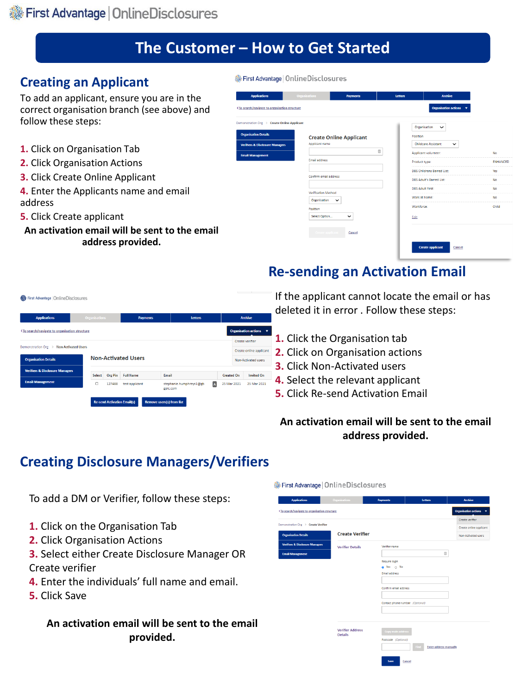# **The Customer – How to Get Started**

#### **Creating an Applicant**

To add an applicant, ensure you are in the correct organisation branch (see above) and follow these steps:

- **1.** Click on Organisation Tab
- **2.** Click Organisation Actions
- **3.** Click Create Online Applicant
- **4.** Enter the Applicants name and email address
- **5.** Click Create applicant
- **An activation email will be sent to the email address provided.**

| First Advantage   Online Disclosures           |                       |                                |                |                                           |                 |
|------------------------------------------------|-----------------------|--------------------------------|----------------|-------------------------------------------|-----------------|
| <b>Applications</b>                            | <b>Organisations</b>  | <b>Payments</b>                | <b>Letters</b> | <b>Archive</b>                            |                 |
| ≮ To search/navigate to organisation structure |                       |                                |                | Organisation actions $\sqrt{\phantom{a}}$ |                 |
| Demonstration Org > Create Online Applicant    |                       |                                |                | Organisation<br>$\check{~}$               |                 |
| <b>Organisation Details</b>                    |                       | <b>Create Online Applicant</b> | Position       |                                           |                 |
| <b>Verifiers &amp; Disclosure Managers</b>     | Applicant name        |                                |                | <b>Childcare Assistant</b><br>$\check{ }$ |                 |
| <b>Email Management</b>                        |                       | ▣                              |                | Applicant volunteer:                      | No              |
|                                                | Email address         |                                |                | Product type:                             | <b>ENHANCED</b> |
|                                                |                       |                                |                | DBS Childrens Barred List:                | Yes             |
|                                                | Confirm email address |                                |                | <b>DBS Adult's Barred List:</b>           | No              |
|                                                | Verification Method   |                                |                | <b>DBS Adult First:</b>                   | No              |
|                                                | Organisation          | ◡                              |                | Work at home:                             | <b>No</b>       |
|                                                | Position              |                                | Workforce:     |                                           | Child           |
|                                                | Select Option         | $\checkmark$                   | Edit           |                                           |                 |
|                                                | Create applican       | Cancel                         |                |                                           |                 |
|                                                |                       |                                |                | <b>Create applicant</b><br>Cancel         |                 |

## **Re-sending an Activation Email**

| First Advantage   OnlineDisclosures                                                                                                                                                                 |                      |                                    |                            |                                              |                         |   |                   |                                        |
|-----------------------------------------------------------------------------------------------------------------------------------------------------------------------------------------------------|----------------------|------------------------------------|----------------------------|----------------------------------------------|-------------------------|---|-------------------|----------------------------------------|
| <b>Applications</b>                                                                                                                                                                                 | <b>Organisations</b> |                                    | <b>Payments</b>            |                                              | <b>Letters</b>          |   |                   | <b>Archive</b>                         |
| <to navigate="" organisation="" search="" structure<="" th="" to=""><th></th><th></th><th></th><th></th><th></th><th></th><th></th><th><b>Organisation actions</b><br/><math>\cdot</math></th></to> |                      |                                    |                            |                                              |                         |   |                   | <b>Organisation actions</b><br>$\cdot$ |
| Demonstration Org > Non Activated Users                                                                                                                                                             |                      |                                    |                            |                                              |                         |   |                   | <b>Create verifier</b>                 |
|                                                                                                                                                                                                     |                      |                                    | <b>Non-Activated Users</b> |                                              |                         |   |                   | Create online applicant                |
| <b>Organisation Details</b>                                                                                                                                                                         |                      |                                    |                            |                                              |                         |   |                   | Non-Activated users                    |
| <b>Verifiers &amp; Disclosure Managers</b>                                                                                                                                                          | <b>Select</b>        | <b>Org Pin</b>                     | <b>Full Name</b>           | Email                                        |                         |   | <b>Created On</b> | <b>Invited On</b>                      |
| <b>Email Management</b>                                                                                                                                                                             | Ω                    | 127488                             | test applicant             |                                              | stephanie.humphreys1@gb | A | 25 Mar 2021       | 25 Mar 2021                            |
|                                                                                                                                                                                                     |                      | <b>Re-send Activation Email(s)</b> |                            | golc.com<br><b>Remove users(s) from list</b> |                         |   |                   |                                        |

If the applicant cannot locate the email or has deleted it in error . Follow these steps:

- **1.** Click the Organisation tab
- **2.** Click on Organisation actions
- **3.** Click Non-Activated users
- **4.** Select the relevant applicant
- **5.** Click Re-send Activation Email

#### **An activation email will be sent to the email address provided.**

### **Creating Disclosure Managers/Verifiers**

To add a DM or Verifier, follow these steps:

- **1.** Click on the Organisation Tab
- **2.** Click Organisation Actions
- **3.** Select either Create Disclosure Manager OR Create verifier
- **4.** Enter the individuals' full name and email.
- **5.** Click Save

#### **An activation email will be sent to the email provided.**

#### First Advantage | Online Disclosures

| <b>Applications</b>                                                                                                                            | <b>Organisations</b>                      | <b>Payments</b>                 | <b>Letters</b>                        | <b>Archive</b>                         |
|------------------------------------------------------------------------------------------------------------------------------------------------|-------------------------------------------|---------------------------------|---------------------------------------|----------------------------------------|
| <to navigate="" organisation="" search="" structure<="" th="" to=""><th></th><th></th><th></th><th><b>Organisation actions</b><br/>۰</th></to> |                                           |                                 |                                       | <b>Organisation actions</b><br>۰       |
|                                                                                                                                                |                                           |                                 |                                       | Create verifier                        |
| Demonstration Org > Create Verifier                                                                                                            |                                           |                                 |                                       | Create online applicant                |
| <b>Organisation Details</b>                                                                                                                    | <b>Create Verifier</b>                    |                                 |                                       | Non-Activated users                    |
| <b>Verifiers &amp; Disclosure Managers</b>                                                                                                     | <b>Verifier Details</b>                   | Verifier name                   |                                       |                                        |
| <b>Email Management</b>                                                                                                                        |                                           |                                 |                                       | $\begin{array}{c} \square \end{array}$ |
|                                                                                                                                                |                                           | Require login                   |                                       |                                        |
|                                                                                                                                                |                                           | a Yes o No                      |                                       |                                        |
|                                                                                                                                                |                                           | <b>Email address</b>            |                                       |                                        |
|                                                                                                                                                |                                           |                                 |                                       |                                        |
|                                                                                                                                                |                                           | Confirm email address           |                                       |                                        |
|                                                                                                                                                |                                           |                                 |                                       |                                        |
|                                                                                                                                                |                                           | Contact phone number (Optional) |                                       |                                        |
|                                                                                                                                                |                                           |                                 |                                       |                                        |
|                                                                                                                                                |                                           |                                 |                                       |                                        |
|                                                                                                                                                |                                           |                                 |                                       |                                        |
|                                                                                                                                                | <b>Verifier Address</b><br><b>Details</b> | <b>Copy main address</b>        |                                       |                                        |
|                                                                                                                                                |                                           | Postcode (Optional)             |                                       |                                        |
|                                                                                                                                                |                                           |                                 | Find<br><b>Enter address manually</b> |                                        |
|                                                                                                                                                |                                           | Save                            | Cancel                                |                                        |